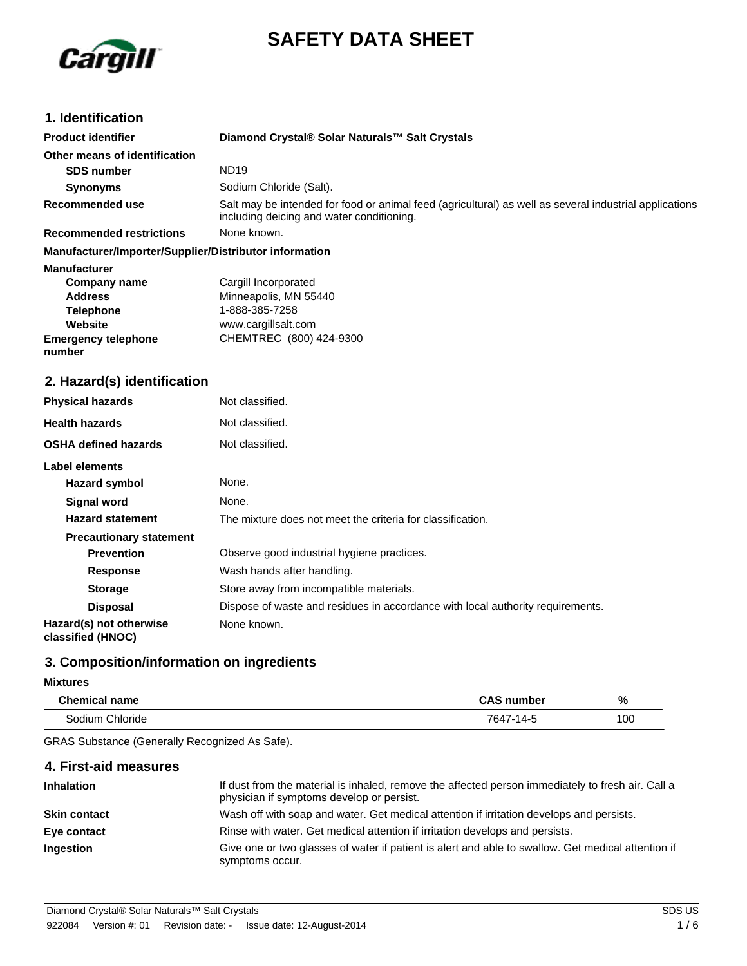

# **SAFETY DATA SHEET**

# **1. Identification**

| <b>Product identifier</b>                              | Diamond Crystal® Solar Naturals™ Salt Crystals                                                                                                      |
|--------------------------------------------------------|-----------------------------------------------------------------------------------------------------------------------------------------------------|
| Other means of identification                          |                                                                                                                                                     |
| <b>SDS number</b>                                      | <b>ND19</b>                                                                                                                                         |
| <b>Synonyms</b>                                        | Sodium Chloride (Salt).                                                                                                                             |
| <b>Recommended use</b>                                 | Salt may be intended for food or animal feed (agricultural) as well as several industrial applications<br>including deicing and water conditioning. |
| <b>Recommended restrictions</b>                        | None known.                                                                                                                                         |
| Manufacturer/Importer/Supplier/Distributor information |                                                                                                                                                     |
| <b>Manufacturer</b>                                    |                                                                                                                                                     |
| <b>Company name</b>                                    | Cargill Incorporated                                                                                                                                |
| <b>Address</b>                                         | Minneapolis, MN 55440                                                                                                                               |
| <b>Telephone</b>                                       | 1-888-385-7258                                                                                                                                      |
| Website                                                | www.cargillsalt.com                                                                                                                                 |
| <b>Emergency telephone</b><br>number                   | CHEMTREC (800) 424-9300                                                                                                                             |
| 2. Hazard(s) identification                            |                                                                                                                                                     |
| <b>Physical hazards</b>                                | Not classified.                                                                                                                                     |
| <b>Health hazards</b>                                  | Not classified.                                                                                                                                     |
| <b>OSHA defined hazards</b>                            | Not classified.                                                                                                                                     |
| Label elements                                         |                                                                                                                                                     |
| Hazard symbol                                          | None.                                                                                                                                               |
| <b>Signal word</b>                                     | None.                                                                                                                                               |
| <b>Hazard statement</b>                                | The mixture does not meet the criteria for classification.                                                                                          |
| <b>Precautionary statement</b>                         |                                                                                                                                                     |
| <b>Prevention</b>                                      | Observe good industrial hygiene practices.                                                                                                          |
| <b>Response</b>                                        | Wash hands after handling.                                                                                                                          |
| <b>Storage</b>                                         | Store away from incompatible materials.                                                                                                             |
| <b>Disposal</b>                                        | Dispose of waste and residues in accordance with local authority requirements.                                                                      |
| Hazard(s) not otherwise<br>classified (HNOC)           | None known.                                                                                                                                         |

# **3. Composition/information on ingredients**

#### **Mixtures**

| <b>Chemical name</b> | <b>CAS number</b> | %   |
|----------------------|-------------------|-----|
| Sodium Chloride      | 7647-14-5         | 100 |

GRAS Substance (Generally Recognized As Safe).

| 4. First-aid measures |                                                                                                                                                |
|-----------------------|------------------------------------------------------------------------------------------------------------------------------------------------|
| <b>Inhalation</b>     | If dust from the material is inhaled, remove the affected person immediately to fresh air. Call a<br>physician if symptoms develop or persist. |
| <b>Skin contact</b>   | Wash off with soap and water. Get medical attention if irritation develops and persists.                                                       |
| Eye contact           | Rinse with water. Get medical attention if irritation develops and persists.                                                                   |
| <b>Ingestion</b>      | Give one or two glasses of water if patient is alert and able to swallow. Get medical attention if<br>symptoms occur.                          |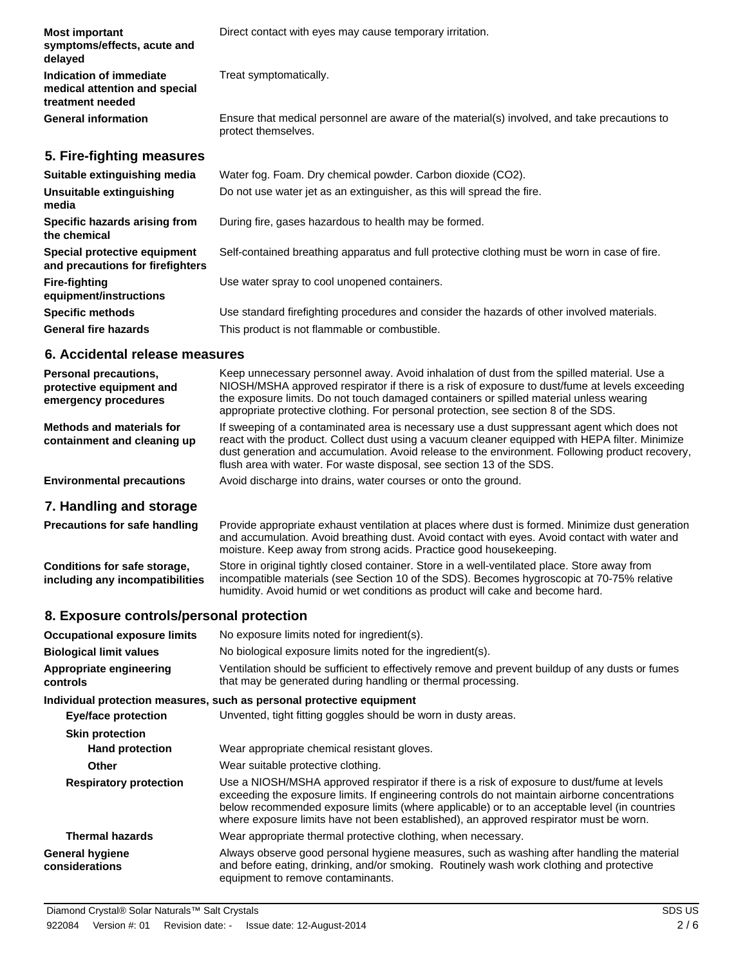| <b>Most important</b><br>symptoms/effects, acute and<br>delayed              | Direct contact with eyes may cause temporary irritation.                                                            |
|------------------------------------------------------------------------------|---------------------------------------------------------------------------------------------------------------------|
| Indication of immediate<br>medical attention and special<br>treatment needed | Treat symptomatically.                                                                                              |
| <b>General information</b>                                                   | Ensure that medical personnel are aware of the material(s) involved, and take precautions to<br>protect themselves. |
| 5. Fire-fighting measures                                                    |                                                                                                                     |
| Suitable extinguishing media                                                 | Water fog. Foam. Dry chemical powder. Carbon dioxide (CO2).                                                         |
| Unsuitable extinguishing<br>media                                            | Do not use water jet as an extinguisher, as this will spread the fire.                                              |
| Specific hazards arising from<br>the chemical                                | During fire, gases hazardous to health may be formed.                                                               |
| Special protective equipment<br>and precautions for firefighters             | Self-contained breathing apparatus and full protective clothing must be worn in case of fire.                       |
| <b>Fire-fighting</b><br>equipment/instructions                               | Use water spray to cool unopened containers.                                                                        |
| <b>Specific methods</b>                                                      | Use standard firefighting procedures and consider the hazards of other involved materials.                          |
| <b>General fire hazards</b>                                                  | This product is not flammable or combustible.                                                                       |

#### **6. Accidental release measures**

| <b>Personal precautions,</b><br>protective equipment and<br>emergency procedures | Keep unnecessary personnel away. Avoid inhalation of dust from the spilled material. Use a<br>NIOSH/MSHA approved respirator if there is a risk of exposure to dust/fume at levels exceeding<br>the exposure limits. Do not touch damaged containers or spilled material unless wearing<br>appropriate protective clothing. For personal protection, see section 8 of the SDS. |
|----------------------------------------------------------------------------------|--------------------------------------------------------------------------------------------------------------------------------------------------------------------------------------------------------------------------------------------------------------------------------------------------------------------------------------------------------------------------------|
| Methods and materials for<br>containment and cleaning up                         | If sweeping of a contaminated area is necessary use a dust suppressant agent which does not<br>react with the product. Collect dust using a vacuum cleaner equipped with HEPA filter. Minimize<br>dust generation and accumulation. Avoid release to the environment. Following product recovery,<br>flush area with water. For waste disposal, see section 13 of the SDS.     |
| <b>Environmental precautions</b>                                                 | Avoid discharge into drains, water courses or onto the ground.                                                                                                                                                                                                                                                                                                                 |

# **7. Handling and storage**

| <b>Precautions for safe handling</b> | Provide appropriate exhaust ventilation at places where dust is formed. Minimize dust generation<br>and accumulation. Avoid breathing dust. Avoid contact with eyes. Avoid contact with water and<br>moisture. Keep away from strong acids. Practice good housekeeping. |
|--------------------------------------|-------------------------------------------------------------------------------------------------------------------------------------------------------------------------------------------------------------------------------------------------------------------------|
| Conditions for safe storage,         | Store in original tightly closed container. Store in a well-ventilated place. Store away from                                                                                                                                                                           |
| including any incompatibilities      | incompatible materials (see Section 10 of the SDS). Becomes hygroscopic at 70-75% relative                                                                                                                                                                              |

humidity. Avoid humid or wet conditions as product will cake and become hard.

# **8. Exposure controls/personal protection**

| <b>Occupational exposure limits</b>      | No exposure limits noted for ingredient(s).                                                                                                                                                                                                                                                                                                                                            |  |  |
|------------------------------------------|----------------------------------------------------------------------------------------------------------------------------------------------------------------------------------------------------------------------------------------------------------------------------------------------------------------------------------------------------------------------------------------|--|--|
| <b>Biological limit values</b>           | No biological exposure limits noted for the ingredient(s).                                                                                                                                                                                                                                                                                                                             |  |  |
| Appropriate engineering<br>controls      | Ventilation should be sufficient to effectively remove and prevent buildup of any dusts or fumes<br>that may be generated during handling or thermal processing.                                                                                                                                                                                                                       |  |  |
|                                          | Individual protection measures, such as personal protective equipment                                                                                                                                                                                                                                                                                                                  |  |  |
| <b>Eye/face protection</b>               | Unvented, tight fitting goggles should be worn in dusty areas.                                                                                                                                                                                                                                                                                                                         |  |  |
| <b>Skin protection</b>                   |                                                                                                                                                                                                                                                                                                                                                                                        |  |  |
| <b>Hand protection</b>                   | Wear appropriate chemical resistant gloves.                                                                                                                                                                                                                                                                                                                                            |  |  |
| <b>Other</b>                             | Wear suitable protective clothing.                                                                                                                                                                                                                                                                                                                                                     |  |  |
| <b>Respiratory protection</b>            | Use a NIOSH/MSHA approved respirator if there is a risk of exposure to dust/fume at levels<br>exceeding the exposure limits. If engineering controls do not maintain airborne concentrations<br>below recommended exposure limits (where applicable) or to an acceptable level (in countries<br>where exposure limits have not been established), an approved respirator must be worn. |  |  |
| <b>Thermal hazards</b>                   | Wear appropriate thermal protective clothing, when necessary.                                                                                                                                                                                                                                                                                                                          |  |  |
| <b>General hygiene</b><br>considerations | Always observe good personal hygiene measures, such as washing after handling the material<br>and before eating, drinking, and/or smoking. Routinely wash work clothing and protective<br>equipment to remove contaminants.                                                                                                                                                            |  |  |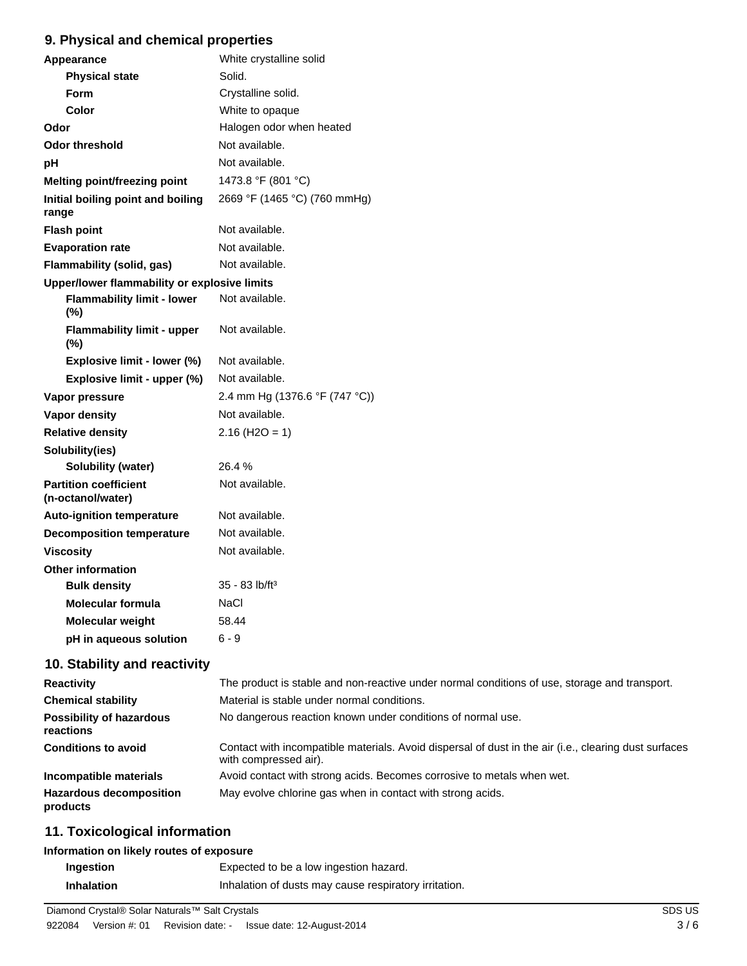# **9. Physical and chemical properties**

| Appearance                                        | White crystalline solid        |  |  |  |
|---------------------------------------------------|--------------------------------|--|--|--|
| <b>Physical state</b>                             | Solid.                         |  |  |  |
| <b>Form</b>                                       | Crystalline solid.             |  |  |  |
| Color                                             | White to opaque                |  |  |  |
| Odor                                              | Halogen odor when heated       |  |  |  |
| <b>Odor threshold</b>                             | Not available.                 |  |  |  |
| pH                                                | Not available.                 |  |  |  |
| Melting point/freezing point                      | 1473.8 °F (801 °C)             |  |  |  |
| Initial boiling point and boiling<br>range        | 2669 °F (1465 °C) (760 mmHg)   |  |  |  |
| <b>Flash point</b>                                | Not available.                 |  |  |  |
| <b>Evaporation rate</b>                           | Not available.                 |  |  |  |
| <b>Flammability (solid, gas)</b>                  | Not available.                 |  |  |  |
| Upper/lower flammability or explosive limits      |                                |  |  |  |
| <b>Flammability limit - lower</b><br>(%)          | Not available.                 |  |  |  |
| <b>Flammability limit - upper</b><br>(%)          | Not available.                 |  |  |  |
| Explosive limit - lower (%)                       | Not available.                 |  |  |  |
| Explosive limit - upper (%)                       | Not available.                 |  |  |  |
| Vapor pressure                                    | 2.4 mm Hg (1376.6 °F (747 °C)) |  |  |  |
| Vapor density                                     | Not available.                 |  |  |  |
| <b>Relative density</b>                           | $2.16$ (H <sub>2</sub> O = 1)  |  |  |  |
| Solubility(ies)                                   |                                |  |  |  |
| Solubility (water)                                | 26.4 %                         |  |  |  |
| <b>Partition coefficient</b><br>(n-octanol/water) | Not available.                 |  |  |  |
| <b>Auto-ignition temperature</b>                  | Not available.                 |  |  |  |
| <b>Decomposition temperature</b>                  | Not available.                 |  |  |  |
| <b>Viscosity</b>                                  | Not available.                 |  |  |  |
| <b>Other information</b>                          |                                |  |  |  |
| <b>Bulk density</b>                               | $35 - 83$ lb/ft <sup>3</sup>   |  |  |  |
| Molecular formula                                 | NaCl                           |  |  |  |
| Molecular weight                                  | 58.44                          |  |  |  |
| pH in aqueous solution                            | $6 - 9$                        |  |  |  |

# **10. Stability and reactivity**

| <b>Reactivity</b>                            | The product is stable and non-reactive under normal conditions of use, storage and transport.                                  |  |  |
|----------------------------------------------|--------------------------------------------------------------------------------------------------------------------------------|--|--|
| <b>Chemical stability</b>                    | Material is stable under normal conditions.                                                                                    |  |  |
| <b>Possibility of hazardous</b><br>reactions | No dangerous reaction known under conditions of normal use.                                                                    |  |  |
| <b>Conditions to avoid</b>                   | Contact with incompatible materials. Avoid dispersal of dust in the air (i.e., clearing dust surfaces<br>with compressed air). |  |  |
| Incompatible materials                       | Avoid contact with strong acids. Becomes corrosive to metals when wet.                                                         |  |  |
| <b>Hazardous decomposition</b><br>products   | May evolve chlorine gas when in contact with strong acids.                                                                     |  |  |

# **11. Toxicological information**

#### **Information on likely routes of exposure**

| Ingestion         | Expected to be a low ingestion hazard.                |
|-------------------|-------------------------------------------------------|
| <b>Inhalation</b> | Inhalation of dusts may cause respiratory irritation. |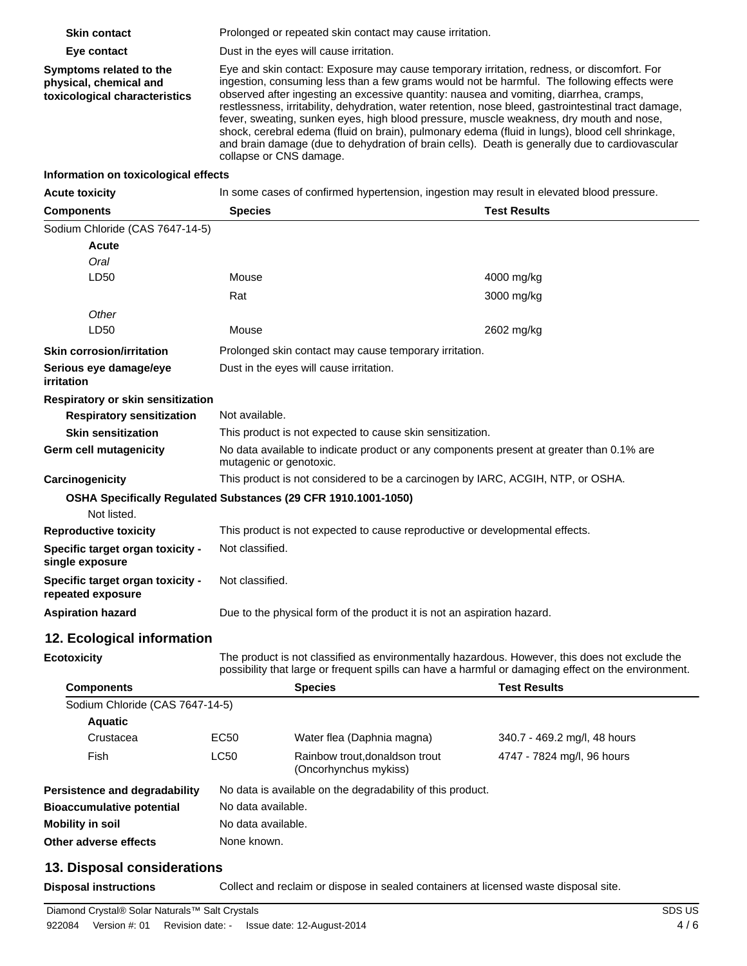| <b>Skin contact</b>                                     |                                                                |                                                                                                                                                                                                                                                                                                                                                                                                                                                                                                                                                                                                                          |                              |  |  |
|---------------------------------------------------------|----------------------------------------------------------------|--------------------------------------------------------------------------------------------------------------------------------------------------------------------------------------------------------------------------------------------------------------------------------------------------------------------------------------------------------------------------------------------------------------------------------------------------------------------------------------------------------------------------------------------------------------------------------------------------------------------------|------------------------------|--|--|
|                                                         |                                                                | Prolonged or repeated skin contact may cause irritation.                                                                                                                                                                                                                                                                                                                                                                                                                                                                                                                                                                 |                              |  |  |
| Eye contact<br>Symptoms related to the                  |                                                                | Dust in the eyes will cause irritation.<br>Eye and skin contact: Exposure may cause temporary irritation, redness, or discomfort. For                                                                                                                                                                                                                                                                                                                                                                                                                                                                                    |                              |  |  |
| physical, chemical and<br>toxicological characteristics |                                                                | ingestion, consuming less than a few grams would not be harmful. The following effects were<br>observed after ingesting an excessive quantity: nausea and vomiting, diarrhea, cramps,<br>restlessness, irritability, dehydration, water retention, nose bleed, gastrointestinal tract damage,<br>fever, sweating, sunken eyes, high blood pressure, muscle weakness, dry mouth and nose,<br>shock, cerebral edema (fluid on brain), pulmonary edema (fluid in lungs), blood cell shrinkage,<br>and brain damage (due to dehydration of brain cells). Death is generally due to cardiovascular<br>collapse or CNS damage. |                              |  |  |
| Information on toxicological effects                    |                                                                |                                                                                                                                                                                                                                                                                                                                                                                                                                                                                                                                                                                                                          |                              |  |  |
| <b>Acute toxicity</b>                                   |                                                                | In some cases of confirmed hypertension, ingestion may result in elevated blood pressure.                                                                                                                                                                                                                                                                                                                                                                                                                                                                                                                                |                              |  |  |
| <b>Components</b>                                       | <b>Species</b>                                                 |                                                                                                                                                                                                                                                                                                                                                                                                                                                                                                                                                                                                                          | <b>Test Results</b>          |  |  |
| Sodium Chloride (CAS 7647-14-5)                         |                                                                |                                                                                                                                                                                                                                                                                                                                                                                                                                                                                                                                                                                                                          |                              |  |  |
| Acute                                                   |                                                                |                                                                                                                                                                                                                                                                                                                                                                                                                                                                                                                                                                                                                          |                              |  |  |
| Oral                                                    |                                                                |                                                                                                                                                                                                                                                                                                                                                                                                                                                                                                                                                                                                                          |                              |  |  |
| LD50                                                    | Mouse                                                          |                                                                                                                                                                                                                                                                                                                                                                                                                                                                                                                                                                                                                          | 4000 mg/kg                   |  |  |
|                                                         | Rat                                                            |                                                                                                                                                                                                                                                                                                                                                                                                                                                                                                                                                                                                                          | 3000 mg/kg                   |  |  |
| Other                                                   |                                                                |                                                                                                                                                                                                                                                                                                                                                                                                                                                                                                                                                                                                                          |                              |  |  |
| LD <sub>50</sub>                                        | Mouse                                                          |                                                                                                                                                                                                                                                                                                                                                                                                                                                                                                                                                                                                                          | 2602 mg/kg                   |  |  |
| <b>Skin corrosion/irritation</b>                        |                                                                | Prolonged skin contact may cause temporary irritation.                                                                                                                                                                                                                                                                                                                                                                                                                                                                                                                                                                   |                              |  |  |
| Serious eye damage/eye<br>irritation                    |                                                                | Dust in the eyes will cause irritation.                                                                                                                                                                                                                                                                                                                                                                                                                                                                                                                                                                                  |                              |  |  |
| Respiratory or skin sensitization                       |                                                                |                                                                                                                                                                                                                                                                                                                                                                                                                                                                                                                                                                                                                          |                              |  |  |
| <b>Respiratory sensitization</b>                        |                                                                | Not available.                                                                                                                                                                                                                                                                                                                                                                                                                                                                                                                                                                                                           |                              |  |  |
| <b>Skin sensitization</b>                               |                                                                | This product is not expected to cause skin sensitization.                                                                                                                                                                                                                                                                                                                                                                                                                                                                                                                                                                |                              |  |  |
| <b>Germ cell mutagenicity</b>                           |                                                                | No data available to indicate product or any components present at greater than 0.1% are<br>mutagenic or genotoxic.                                                                                                                                                                                                                                                                                                                                                                                                                                                                                                      |                              |  |  |
| Carcinogenicity                                         |                                                                | This product is not considered to be a carcinogen by IARC, ACGIH, NTP, or OSHA.                                                                                                                                                                                                                                                                                                                                                                                                                                                                                                                                          |                              |  |  |
|                                                         | OSHA Specifically Regulated Substances (29 CFR 1910.1001-1050) |                                                                                                                                                                                                                                                                                                                                                                                                                                                                                                                                                                                                                          |                              |  |  |
| Not listed.                                             |                                                                |                                                                                                                                                                                                                                                                                                                                                                                                                                                                                                                                                                                                                          |                              |  |  |
| <b>Reproductive toxicity</b>                            |                                                                | This product is not expected to cause reproductive or developmental effects.                                                                                                                                                                                                                                                                                                                                                                                                                                                                                                                                             |                              |  |  |
| Specific target organ toxicity -<br>single exposure     |                                                                | Not classified.                                                                                                                                                                                                                                                                                                                                                                                                                                                                                                                                                                                                          |                              |  |  |
| Specific target organ toxicity -<br>repeated exposure   |                                                                | Not classified.                                                                                                                                                                                                                                                                                                                                                                                                                                                                                                                                                                                                          |                              |  |  |
| <b>Aspiration hazard</b>                                |                                                                | Due to the physical form of the product it is not an aspiration hazard.                                                                                                                                                                                                                                                                                                                                                                                                                                                                                                                                                  |                              |  |  |
| 12. Ecological information                              |                                                                |                                                                                                                                                                                                                                                                                                                                                                                                                                                                                                                                                                                                                          |                              |  |  |
| <b>Ecotoxicity</b>                                      |                                                                | The product is not classified as environmentally hazardous. However, this does not exclude the<br>possibility that large or frequent spills can have a harmful or damaging effect on the environment.                                                                                                                                                                                                                                                                                                                                                                                                                    |                              |  |  |
| <b>Components</b>                                       |                                                                | <b>Species</b>                                                                                                                                                                                                                                                                                                                                                                                                                                                                                                                                                                                                           | <b>Test Results</b>          |  |  |
| Sodium Chloride (CAS 7647-14-5)                         |                                                                |                                                                                                                                                                                                                                                                                                                                                                                                                                                                                                                                                                                                                          |                              |  |  |
| <b>Aquatic</b>                                          |                                                                |                                                                                                                                                                                                                                                                                                                                                                                                                                                                                                                                                                                                                          |                              |  |  |
| Crustacea                                               | EC50                                                           | Water flea (Daphnia magna)                                                                                                                                                                                                                                                                                                                                                                                                                                                                                                                                                                                               | 340.7 - 469.2 mg/l, 48 hours |  |  |
| Fish                                                    | LC50                                                           | Rainbow trout, donaldson trout<br>(Oncorhynchus mykiss)                                                                                                                                                                                                                                                                                                                                                                                                                                                                                                                                                                  | 4747 - 7824 mg/l, 96 hours   |  |  |
| Persistence and degradability                           |                                                                | No data is available on the degradability of this product.                                                                                                                                                                                                                                                                                                                                                                                                                                                                                                                                                               |                              |  |  |
| <b>Bioaccumulative potential</b>                        |                                                                | No data available.                                                                                                                                                                                                                                                                                                                                                                                                                                                                                                                                                                                                       |                              |  |  |
| <b>Mobility in soil</b>                                 |                                                                | No data available.                                                                                                                                                                                                                                                                                                                                                                                                                                                                                                                                                                                                       |                              |  |  |
| Other adverse effects                                   | None known.                                                    |                                                                                                                                                                                                                                                                                                                                                                                                                                                                                                                                                                                                                          |                              |  |  |
|                                                         |                                                                |                                                                                                                                                                                                                                                                                                                                                                                                                                                                                                                                                                                                                          |                              |  |  |

# **13. Disposal considerations**

**Disposal instructions** Collect and reclaim or dispose in sealed containers at licensed waste disposal site.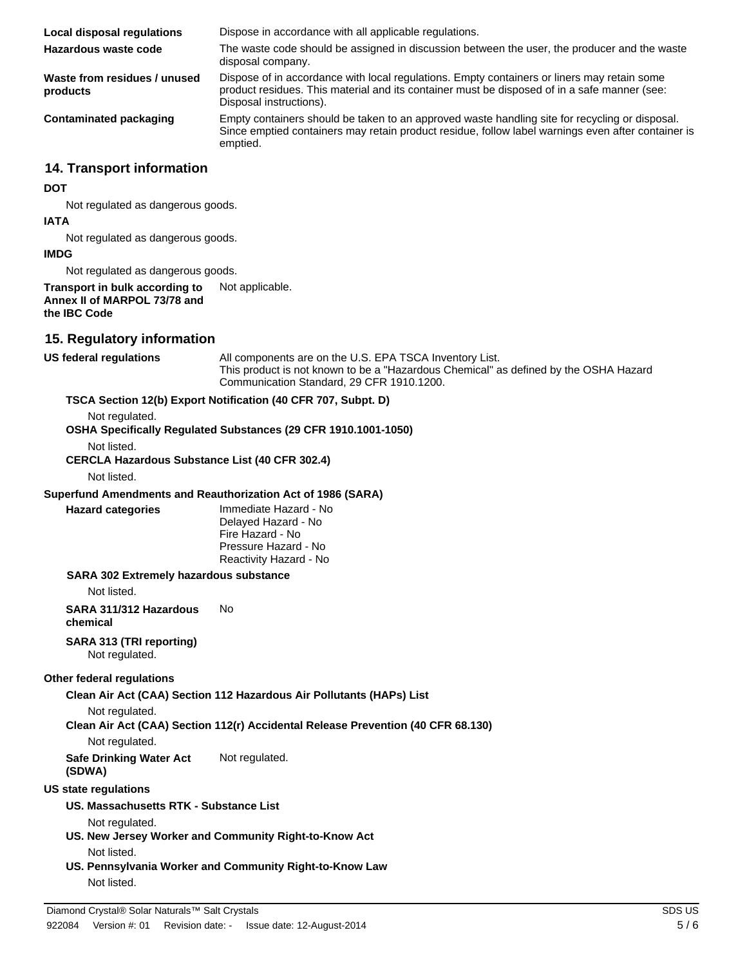**Local disposal regulations** Dispose in accordance with all applicable regulations. **Hazardous waste code** The waste code should be assigned in discussion between the user, the producer and the waste disposal company. **Waste from residues / unused products** Dispose of in accordance with local regulations. Empty containers or liners may retain some product residues. This material and its container must be disposed of in a safe manner (see: Disposal instructions). **Contaminated packaging** Empty containers should be taken to an approved waste handling site for recycling or disposal. Since emptied containers may retain product residue, follow label warnings even after container is emptied.

### **14. Transport information**

#### **DOT**

Not regulated as dangerous goods.

#### **IATA**

Not regulated as dangerous goods.

#### **IMDG**

Not regulated as dangerous goods.

#### **Transport in bulk according to** Not applicable. **Annex II of MARPOL 73/78 and the IBC Code**

#### **15. Regulatory information**

**US federal regulations** All components are on the U.S. EPA TSCA Inventory List. This product is not known to be a "Hazardous Chemical" as defined by the OSHA Hazard Communication Standard, 29 CFR 1910.1200.

#### **TSCA Section 12(b) Export Notification (40 CFR 707, Subpt. D)**

Not regulated.

**OSHA Specifically Regulated Substances (29 CFR 1910.1001-1050)**

Not listed.

**CERCLA Hazardous Substance List (40 CFR 302.4)**

Not listed.

#### **Superfund Amendments and Reauthorization Act of 1986 (SARA)**

**Hazard categories** Immediate Hazard - No Delayed Hazard - No Fire Hazard - No Pressure Hazard - No Reactivity Hazard - No

#### **SARA 302 Extremely hazardous substance**

Not listed.

**SARA 311/312 Hazardous chemical** No

#### **SARA 313 (TRI reporting)**

Not regulated.

#### **Other federal regulations**

**Clean Air Act (CAA) Section 112 Hazardous Air Pollutants (HAPs) List**

Not regulated.

**Clean Air Act (CAA) Section 112(r) Accidental Release Prevention (40 CFR 68.130)**

Not regulated.

**Safe Drinking Water Act (SDWA)** Not regulated.

#### **US state regulations**

**US. Massachusetts RTK - Substance List**

Not regulated.

- **US. New Jersey Worker and Community Right-to-Know Act** Not listed.
- **US. Pennsylvania Worker and Community Right-to-Know Law** Not listed.